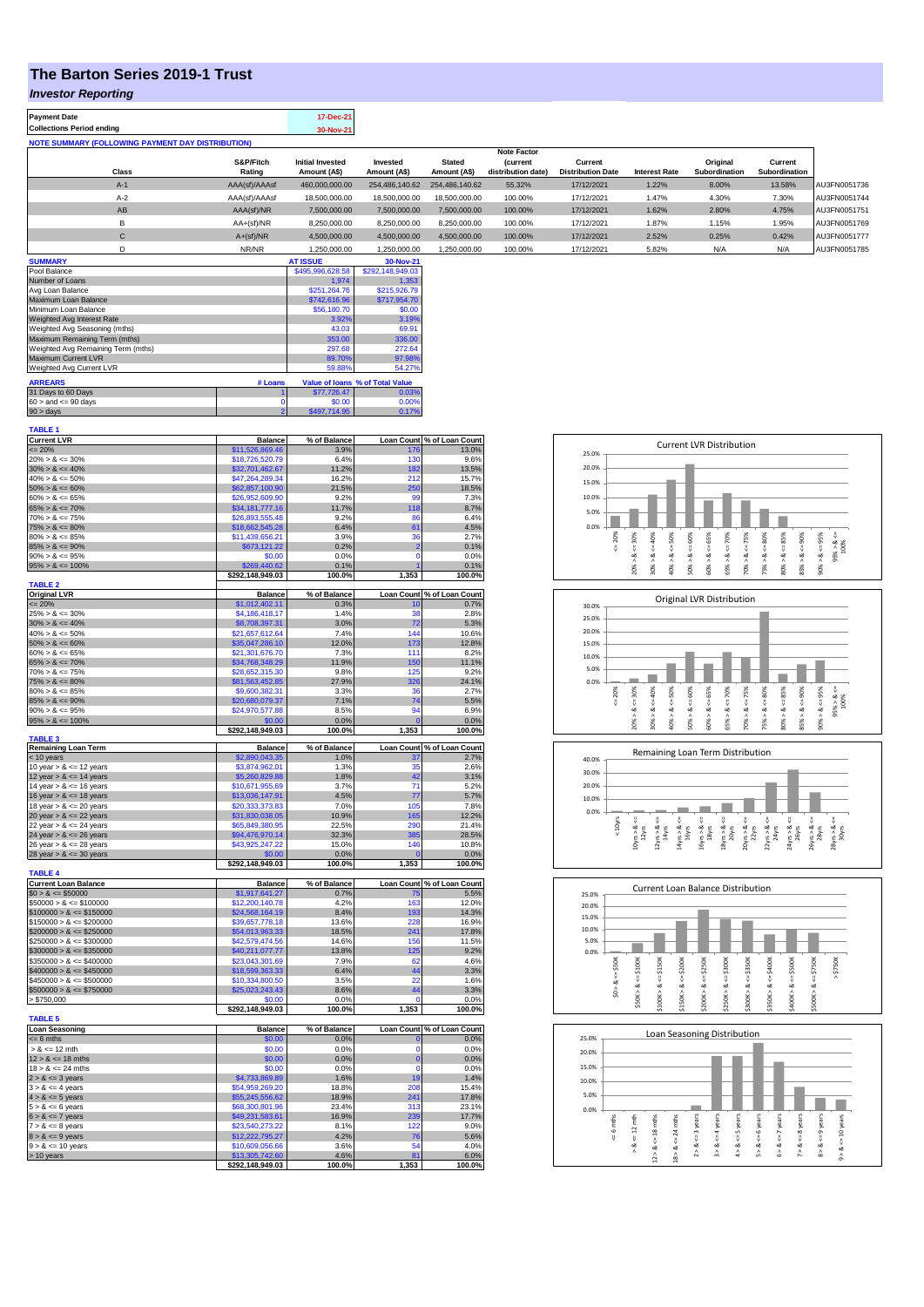## **The Barton Series 2019-1 Trust**

## *Investor Reporting*

| <b>Payment Date</b>                                      | 17-Dec-21 |
|----------------------------------------------------------|-----------|
| <b>Collections Period ending</b>                         | 30-Nov-21 |
| <b>NOTE SUMMARY (FOLLOWING PAYMENT DAY DISTRIBUTION)</b> |           |
|                                                          |           |

|              |               |                         |                |                | <b>Note Factor</b> |                          |                      |               |               |              |
|--------------|---------------|-------------------------|----------------|----------------|--------------------|--------------------------|----------------------|---------------|---------------|--------------|
|              | S&P/Fitch     | <b>Initial Invested</b> | Invested       | <b>Stated</b>  | <b>Current</b>     | Current                  |                      | Original      | Current       |              |
| Class        | Rating        | Amount (A\$)            | Amount (A\$)   | Amount (A\$)   | distribution date) | <b>Distribution Date</b> | <b>Interest Rate</b> | Subordination | Subordination |              |
| $A-1$        | AAA(sf)/AAAsf | 460,000,000.00          | 254.486.140.62 | 254.486.140.62 | 55.32%             | 17/12/2021               | 1.22%                | 8.00%         | 13.58%        | AU3FN0051736 |
| $A-2$        | AAA(sf)/AAAsf | 18,500,000,00           | 18,500,000,00  | 18,500,000,00  | 100.00%            | 17/12/2021               | 1.47%                | 4.30%         | 7.30%         | AU3FN0051744 |
| AB           | AAA(sf)/NR    | 7,500,000.00            | 7,500,000.00   | 7,500,000.00   | 100.00%            | 17/12/2021               | 1.62%                | 2.80%         | 4.75%         | AU3FN0051751 |
| в            | $AA+(sf)/NR$  | 8,250,000.00            | 8.250.000.00   | 8.250.000.00   | 100.00%            | 17/12/2021               | 1.87%                | 1.15%         | 1.95%         | AU3FN0051769 |
| $\mathsf{C}$ | $A+(sf)/NR$   | 4,500,000.00            | 4,500,000.00   | 4.500.000.00   | 100.00%            | 17/12/2021               | 2.52%                | 0.25%         | 0.42%         | AU3FN0051777 |
|              | NR/NR         | 1.250.000.00            | 1.250.000.00   | 1.250.000.00   | 100.00%            | 17/12/2021               | 5.82%                | N/A           | N/A           | AU3FN0051785 |

| <b>SUMMARY</b>                     |         | <b>AT ISSUE</b>  | 30-Nov-21                       |
|------------------------------------|---------|------------------|---------------------------------|
| Pool Balance                       |         | \$495,996,628.58 | \$292,148,949.03                |
| Number of Loans                    |         | 1.974            | 1.353                           |
| Avg Loan Balance                   |         | \$251.264.76     | \$215,926.79                    |
| Maximum Loan Balance               |         | \$742,616.96     | \$717,954.70                    |
| Minimum Loan Balance               |         | \$56,180.70      | \$0.00                          |
| Weighted Avg Interest Rate         |         | 3.92%            | 3.19%                           |
| Weighted Avg Seasoning (mths)      |         | 43.03            | 69.91                           |
| Maximum Remaining Term (mths)      |         | 353.00           | 336.00                          |
| Weighted Avg Remaining Term (mths) |         | 297.68           | 272.64                          |
| Maximum Current LVR                |         | 89.70%           | 97.98%                          |
| Weighted Avg Current LVR           |         | 59.88%           | 54.27%                          |
| <b>ARREARS</b>                     | # Loans |                  | Value of Ioans % of Total Value |
| 31 Days to 60 Days                 |         | \$77.726.47      | 0.03%                           |
| $60 >$ and $\leq 90$ days          |         | \$0.00           | 0.00%                           |
| $90 > \text{days}$                 | 2       | \$497.714.95     | 0.17%                           |

| <b>TABLE 1</b>                                           |                                    |                      |                            |                                         |
|----------------------------------------------------------|------------------------------------|----------------------|----------------------------|-----------------------------------------|
| <b>Current LVR</b>                                       | <b>Balance</b><br>\$11,526,869.46  | % of Balance<br>3.9% |                            | Loan Count % of Loan Count<br>176 13.0% |
| $\leq$ 20%<br>$20\% > 8 \le 30\%$                        | \$18,726,520.79                    | 6.4%                 | 130                        | 9.6%                                    |
| $30\% > 8 \le 40\%$                                      | \$32,701,462.67                    | 11.2%                | 182                        | 13.5%                                   |
| $40\% > 8 \le 50\%$                                      | \$47,264,289.34                    | 16.2%                | 212                        | 15.7%                                   |
| $50\% > 8 \le 60\%$                                      | \$62,857,100.90                    | 21.5%                | 250                        | 18.5%                                   |
| $60\% > 8 \le 65\%$                                      | \$26,952,609.90                    | 9.2%                 | 99                         | 7.3%                                    |
| $65\% > 8 \le 70\%$                                      | \$34,181,777.16                    | 11.7%                | 118                        | 8.7%                                    |
| $70\% > 8 \le 75\%$                                      | \$26,893,555.48                    | 9.2%                 | 86                         | 6.4%                                    |
| $75\% > 8 \le 80\%$                                      | \$18,662,545.28                    | 6.4%                 | 61                         | 4.5%                                    |
| $80\% > 8 \le 85\%$                                      | \$11,439,656.21                    | 3.9%                 | 36                         | 2.7%                                    |
| $85\% > 8 \le 90\%$<br>$90\% > 8 \le 95\%$               | \$673,121.22<br>\$0.00             | 0.2%<br>0.0%         | $\overline{2}$<br>$\Omega$ | 0.1%<br>0.0%                            |
| $95\% > 8 \le 100\%$                                     | \$269,440.62                       | 0.1%                 | 1                          | 0.1%                                    |
|                                                          | \$292,148,949.03                   | 100.0%               | 1,353                      | 100.0%                                  |
| <b>TABLE 2</b>                                           |                                    |                      |                            |                                         |
| <b>Original LVR</b>                                      | <b>Balance</b>                     | % of Balance         |                            | Loan Count % of Loan Count              |
| $= 20%$                                                  | \$1,012,402.11                     | 0.3%                 | 10                         | 0.7%                                    |
| $25\% > 8 \le 30\%$                                      | \$4,186,418.17                     | 1.4%                 | 38                         | 2.8%                                    |
| $30\% > 8 \le 40\%$<br>$40\% > 8 \le 50\%$               | \$8,708,397.31                     | 3.0%<br>7.4%         | 72<br>144                  | 5.3%                                    |
| $50\% > 8 \le 60\%$                                      | \$21,657,612.64<br>\$35,047,286.10 | 12.0%                | 173                        | 10.6%<br>12.8%                          |
| $60\% > 8 \le 65\%$                                      | \$21,301,676.70                    | 7.3%                 | 111                        | 8.2%                                    |
| $65\% > 8 \le 70\%$                                      | \$34,768,348.29                    | 11.9%                | 150                        | 11.1%                                   |
| $70\% > 8 \le 75\%$                                      | \$28,652,315.30                    | 9.8%                 | 125                        | 9.2%                                    |
| $75\% > 8 \le 80\%$                                      | \$81,563,452.85                    | 27.9%                | 326                        | 24.1%                                   |
| $80\% > 8 \le 85\%$                                      | \$9,600,382.31                     | 3.3%                 | 36                         | 2.7%                                    |
| $85\% > 8 \le 90\%$                                      | \$20,680,079.37                    | 7.1%                 | 74                         | 5.5%                                    |
| $90\% > 8 \le 95\%$                                      | \$24,970,577.88                    | 8.5%                 | 94                         | 6.9%                                    |
| $95\% > 8 \le 100\%$                                     | \$0.00                             | 0.0%                 | $\mathbf{0}$               | 0.0%                                    |
| <b>TABLE 3</b>                                           | \$292,148,949.03                   | 100.0%               | 1,353                      | 100.0%                                  |
| <b>Remaining Loan Term</b>                               | <b>Balance</b>                     | % of Balance         |                            | Loan Count % of Loan Count              |
| < 10 years                                               | \$2,890,043.35                     | 1.0%                 | 37                         | 2.7%                                    |
| 10 year $> 8 \le 12$ years                               | \$3.874.962.01                     | 1.3%                 | 35                         | 2.6%                                    |
| 12 year $> 8 \le 14$ years                               | \$5,260,829.88<br>\$10,671,955.69  | 1.8%<br>3.7%         | 42<br>71                   | 3.1%<br>5.2%                            |
| 14 year $> 8 \le 16$ years<br>16 year $> 8 \le 18$ years | \$13,036,147.91                    | 4.5%                 | 77                         | 5.7%                                    |
| 18 year $> 8 \le 20$ years                               | \$20,333,373.83                    | 7.0%                 | 105                        | 7.8%                                    |
| 20 year $> 8 \le 22$ years                               | \$31,830,038.05                    | 10.9%                | 165                        | 12.2%                                   |
| 22 year $> 8 \le 24$ years                               | \$65,849,380.95                    | 22.5%                | 290                        | 21.4%                                   |
| 24 year $> 8 \le 26$ years                               | \$94,476,970.14                    | 32.3%                | 385                        | 28.5%                                   |
| 26 year $> 8 \le 28$ years                               | \$43,925,247.22                    | 15.0%                | 146                        | 10.8%                                   |
| 28 year $> 8 \le 30$ years                               | \$0.00                             | 0.0%                 | $\mathbf{0}$               | 0.0%                                    |
| <b>TABLE 4</b>                                           | \$292,148,949.03                   | 100.0%               | 1,353                      | 100.0%                                  |
| <b>Current Loan Balance</b>                              | <b>Balance</b>                     | % of Balance         | <b>Loan Count</b>          | % of Loan Count                         |
| $$0 > 8 \le $50000$                                      | \$1,917,641.27                     | 0.7%                 | 75                         | 5.5%                                    |
| $$50000 > 8 \le $100000$                                 | \$12,200,140.78                    | 4.2%                 | 163                        | 12.0%                                   |
| $$100000 > 8 \leq $150000$                               | \$24,568,164.19                    | 8.4%                 | 193                        | 14.3%                                   |
| $$150000 > 8 \le $200000$                                | \$39,657,778.18                    | 13.6%                | 228                        | 16.9%                                   |
| $$200000 > 8 \leq $250000$                               | \$54,013,963.33                    | 18.5%                | 241<br>156                 | 17.8%                                   |
| $$250000 > 8 \le $300000$                                | \$42,579,474.56                    | 14.6%                | 125                        | 11.5%                                   |
| $$300000 > 8 \le $350000$<br>$$350000 > 8 \le $400000$   | \$40,211,077.77<br>\$23,043,301.69 | 13.8%<br>7.9%        | 62                         | 9.2%<br>4.6%                            |
| $$400000 > 8 \le $450000$                                | \$18,599,363.33                    | 6.4%                 | 44                         | 3.3%                                    |
| $$450000 > 8 \le $500000$                                | \$10,334,800.50                    | 3.5%                 | 22                         | 1.6%                                    |
| $$500000 > 8 \le $750000$                                | \$25,023,243.43                    | 8.6%                 | 44                         | 3.3%                                    |
| > \$750,000                                              | \$0.00                             | 0.0%                 | 0                          | 0.0%                                    |
|                                                          | \$292,148,949.03                   | 100.0%               | 1,353                      | 100.0%                                  |
| <b>TABLE 5</b>                                           | <b>Balance</b>                     |                      |                            |                                         |
| <b>Loan Seasoning</b><br>$= 6$ mths                      | \$0.00                             | % of Balance<br>0.0% | $\mathbf 0$                | Loan Count % of Loan Count<br>0.0%      |
| $> 8 \le 12$ mth                                         | \$0.00                             | 0.0%                 | $\Omega$                   | 0.0%                                    |
| $12 > 8 \le 18$ mths                                     | \$0.00                             | 0.0%                 | $\bf{0}$                   | 0.0%                                    |
| $18 > 8 \le 24$ mths                                     | \$0.00                             | 0.0%                 | $\Omega$                   | 0.0%                                    |
| $2 > 8 \le 3$ years                                      | \$4,733,869.89                     | 1.6%                 | 19                         | 1.4%                                    |
| $3 > 8 \le 4$ years                                      | \$54,959,269.20                    | 18.8%                | 208                        | 15.4%                                   |
| $4 > 8 \le 5$ years                                      | \$55,245,556.62                    | 18.9%                | 241                        | 17.8%                                   |
| $5 > 8 \le 6$ years                                      | \$68,300,801.96                    | 23.4%                | 313                        | 23.1%                                   |
| $6 > 8 \le 7$ years                                      | \$49,231,583.61                    | 16.9%                | 239                        | 17.7%                                   |
| $7 > 8 \le 8$ years                                      | \$23,540,273.22                    | 8.1%                 | 122                        | 9.0%                                    |
| $8 > 8 \le 9$ years<br>$9 > 8 \le 10$ years              | \$12,222,795.27<br>\$10,609,056.66 | 4.2%<br>3.6%         | 76<br>54                   | 5.6%<br>4.0%                            |
| > 10 years                                               | \$13,305,742.60                    | 4.6%                 | 81                         | 6.0%                                    |
|                                                          |                                    | 100.0%               | 1,353                      | 100.0%                                  |
|                                                          | \$292,148,949.03                   |                      |                            |                                         |









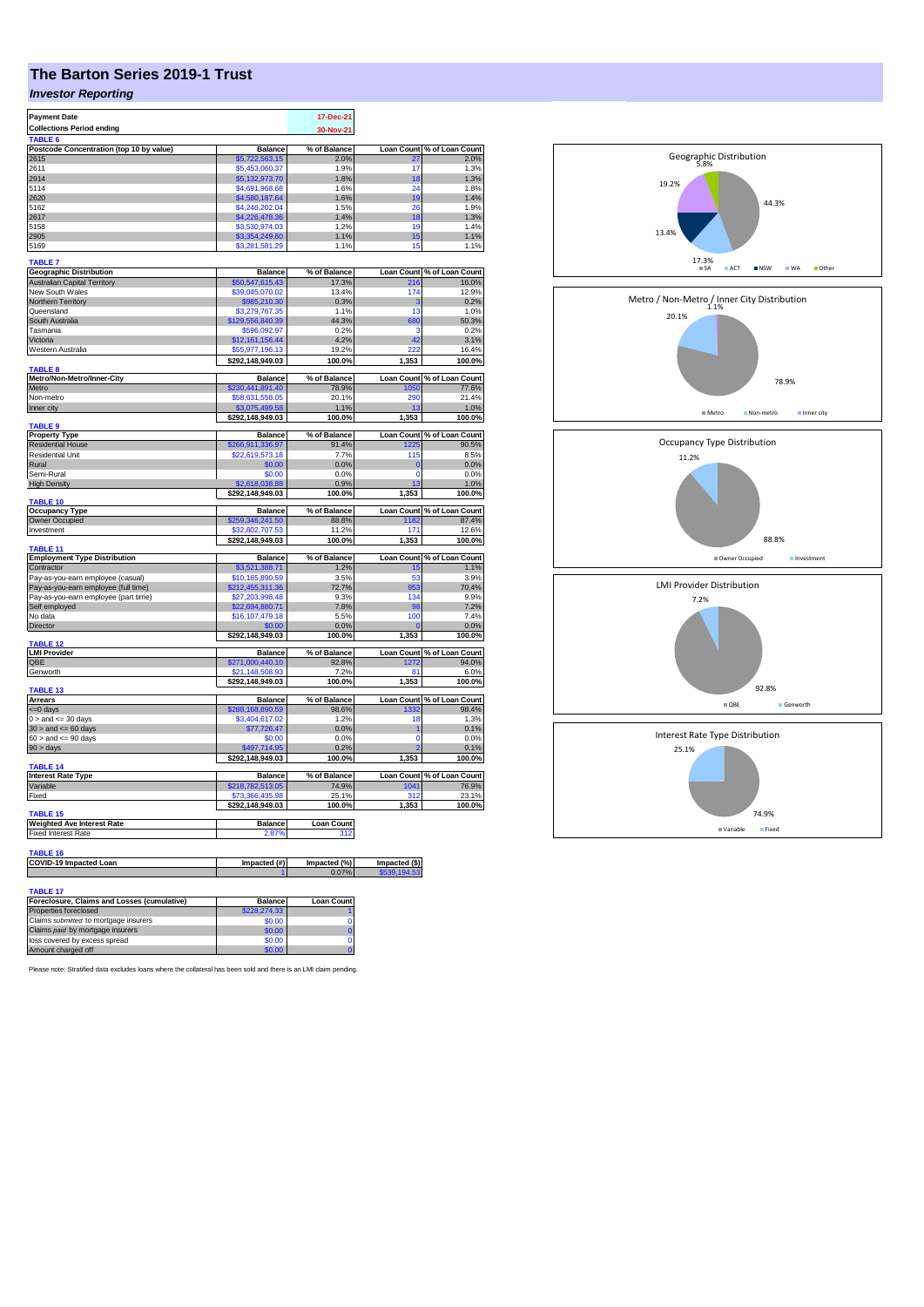## **The Barton Series 2019-1 Trust**

## *Investor Reporting*

| <b>Payment Date</b>                                   |                                    | 17-Dec-21            |                               |                                                                                                                                                                                                                                                                                                                                       |
|-------------------------------------------------------|------------------------------------|----------------------|-------------------------------|---------------------------------------------------------------------------------------------------------------------------------------------------------------------------------------------------------------------------------------------------------------------------------------------------------------------------------------|
| <b>Collections Period ending</b>                      |                                    | 30-Nov-21            |                               |                                                                                                                                                                                                                                                                                                                                       |
| TABLE <sub>6</sub>                                    |                                    |                      |                               |                                                                                                                                                                                                                                                                                                                                       |
| Postcode Concentration (top 10 by value)              | <b>Balance</b>                     | % of Balance         | Loan Count                    | % of Loan Count                                                                                                                                                                                                                                                                                                                       |
| 2615                                                  | \$5,722,563.15                     | 2.0%                 | $\overline{27}$               | 2.0%                                                                                                                                                                                                                                                                                                                                  |
| 2611                                                  | \$5,453,060.37                     | 1.9%                 | 17                            | 1.3%                                                                                                                                                                                                                                                                                                                                  |
| 2914                                                  | \$5,132,973.70                     | 1.8%                 | 18                            | 1.3%                                                                                                                                                                                                                                                                                                                                  |
| 5114                                                  | \$4,691,968.68                     | 1.6%                 | 24                            | 1.8%                                                                                                                                                                                                                                                                                                                                  |
| 2620                                                  | \$4,580,187.64                     | 1.6%                 | 19                            | 1.4%                                                                                                                                                                                                                                                                                                                                  |
| 5162                                                  | \$4,246,202.04                     | 1.5%                 | 26                            | 1.9%                                                                                                                                                                                                                                                                                                                                  |
| 2617<br>5158                                          | \$4,226,478.36<br>\$3,530,974.03   | 1.4%<br>1.2%         | 18<br>19                      | 1.3%<br>1.4%                                                                                                                                                                                                                                                                                                                          |
| 2905                                                  | \$3,354,249.60                     | 1.1%                 | 15                            | 1.1%                                                                                                                                                                                                                                                                                                                                  |
| 5169                                                  | \$3,281,581.29                     | 1.1%                 | 15                            | 1.1%                                                                                                                                                                                                                                                                                                                                  |
|                                                       |                                    |                      |                               |                                                                                                                                                                                                                                                                                                                                       |
| <b>TABLE 7</b>                                        |                                    |                      |                               |                                                                                                                                                                                                                                                                                                                                       |
| <b>Geographic Distribution</b>                        | <b>Balance</b>                     | % of Balance         |                               | Loan Count % of Loan Count                                                                                                                                                                                                                                                                                                            |
| <b>Australian Capital Territory</b>                   | \$50,547,615.43                    | 17.3%                | 216                           | 16.0%                                                                                                                                                                                                                                                                                                                                 |
| New South Wales                                       | \$39,045,070.02                    | 13.4%                | 174                           | 12.9%                                                                                                                                                                                                                                                                                                                                 |
| Northern Territory                                    | \$985,210.30                       | 0.3%                 | 3                             | 0.2%                                                                                                                                                                                                                                                                                                                                  |
| Queensland                                            | \$3,279,767.35                     | 1.1%                 | 13                            | 1.0%                                                                                                                                                                                                                                                                                                                                  |
| South Australia                                       | \$129,556,840.39                   | 44.3%                | 680                           | 50.3%                                                                                                                                                                                                                                                                                                                                 |
| Tasmania                                              | \$596,092.97                       | 0.2%                 | 3                             | 0.2%                                                                                                                                                                                                                                                                                                                                  |
| Victoria                                              | \$12,161,156.44                    | 4.2%                 | 42                            | 3.1%                                                                                                                                                                                                                                                                                                                                  |
| Western Australia                                     | \$55,977,196.13                    | 19.2%                |                               | 16.4%                                                                                                                                                                                                                                                                                                                                 |
|                                                       | \$292,148,949.03                   | 100.0%               | 1,353                         | 100.0%                                                                                                                                                                                                                                                                                                                                |
| <b>TARIFR</b>                                         |                                    |                      |                               |                                                                                                                                                                                                                                                                                                                                       |
| Metro/Non-Metro/Inner-City                            | <b>Balance</b>                     | % of Balance         |                               | Loan Count % of Loan Count                                                                                                                                                                                                                                                                                                            |
| Metro                                                 | \$230,441,891.40                   | 78.9%                | 1050                          | 77.6%<br>21.4%                                                                                                                                                                                                                                                                                                                        |
| Non-metro                                             | \$58,631,558.05                    | 20.1%                | 290                           |                                                                                                                                                                                                                                                                                                                                       |
| Inner city                                            | \$3,075,499.58<br>\$292,148,949.03 | 1.1%<br>100.0%       | 1,353                         | 1.0%<br>100.0%                                                                                                                                                                                                                                                                                                                        |
| <b>TABLE 9</b>                                        |                                    |                      |                               |                                                                                                                                                                                                                                                                                                                                       |
| <b>Property Type</b>                                  | <b>Balance</b>                     | % of Balance         |                               | Loan Count % of Loan Count                                                                                                                                                                                                                                                                                                            |
| <b>Residential House</b>                              | 266,911,336.97                     | 91.4%                | 1225                          | 90.5%                                                                                                                                                                                                                                                                                                                                 |
| <b>Residential Unit</b>                               | \$22,619,573.18                    | 7.7%                 | 115                           | 8.5%                                                                                                                                                                                                                                                                                                                                  |
| Rural                                                 | \$0.00                             | 0.0%                 | $\mathbf 0$                   | 0.0%                                                                                                                                                                                                                                                                                                                                  |
| Semi-Rural                                            | \$0.00                             | 0.0%                 | $\Omega$                      | 0.0%                                                                                                                                                                                                                                                                                                                                  |
| <b>High Density</b>                                   | \$2,618,038.88                     | 0.9%                 | 13                            | 1.0%                                                                                                                                                                                                                                                                                                                                  |
|                                                       | \$292,148,949.03                   | 100.0%               | 1,353                         | 100.0%                                                                                                                                                                                                                                                                                                                                |
| <b>TABLE 10</b>                                       |                                    |                      |                               |                                                                                                                                                                                                                                                                                                                                       |
|                                                       |                                    |                      |                               |                                                                                                                                                                                                                                                                                                                                       |
| <b>Occupancy Type</b>                                 | <b>Balance</b>                     | % of Balance         | <b>Loan Count</b>             |                                                                                                                                                                                                                                                                                                                                       |
| Owner Occupied                                        | \$259,346,241.50                   | 88.8%                | 1182                          |                                                                                                                                                                                                                                                                                                                                       |
| Investment                                            | 32 802 707                         | 11.2%                | 171                           |                                                                                                                                                                                                                                                                                                                                       |
|                                                       | \$292,148,949.03                   | 100.0%               | 1,353                         |                                                                                                                                                                                                                                                                                                                                       |
| <b>TABLE 11</b>                                       |                                    |                      |                               |                                                                                                                                                                                                                                                                                                                                       |
| <b>Employment Type Distribution</b><br>Contractor     | <b>Balance</b><br>\$3,521,388.71   | % of Balance<br>1.2% | Loan Count<br>15              |                                                                                                                                                                                                                                                                                                                                       |
| Pay-as-you-earn employee (casual)                     | \$10,165,890.59                    | 3.5%                 | 53                            |                                                                                                                                                                                                                                                                                                                                       |
|                                                       | \$212,455,311.36                   | 72.7%                | 953                           |                                                                                                                                                                                                                                                                                                                                       |
| Pay-as-you-earn employee (full time)                  |                                    | 9.3%                 | 134                           |                                                                                                                                                                                                                                                                                                                                       |
| Pay-as-you-earn employee (part time)<br>Self employed | \$27,203,998.48<br>\$22,694,880.71 | 7.8%                 | 98                            |                                                                                                                                                                                                                                                                                                                                       |
| No data                                               | \$16,107,479.18                    | 5.5%                 | 100                           |                                                                                                                                                                                                                                                                                                                                       |
| Director                                              | \$0.00                             | 0.0%                 |                               |                                                                                                                                                                                                                                                                                                                                       |
|                                                       | \$292,148,949.03                   | 100.0%               | 1,353                         |                                                                                                                                                                                                                                                                                                                                       |
| TABLE 12                                              |                                    |                      |                               |                                                                                                                                                                                                                                                                                                                                       |
| <b>LMI Provider</b>                                   | <b>Balance</b>                     | % of Balance         |                               |                                                                                                                                                                                                                                                                                                                                       |
| QBE                                                   | \$271,000,440.10                   | 92.8%                | 1272                          |                                                                                                                                                                                                                                                                                                                                       |
| Genworth                                              | \$21.148.508.93                    | 7.2%                 | 81                            |                                                                                                                                                                                                                                                                                                                                       |
|                                                       | \$292,148,949.03                   | 100.0%               | 1.353                         |                                                                                                                                                                                                                                                                                                                                       |
| <b>TABLE 13</b>                                       |                                    |                      |                               |                                                                                                                                                                                                                                                                                                                                       |
| <b>Arrears</b>                                        | <b>Balance</b>                     | % of Balance         |                               |                                                                                                                                                                                                                                                                                                                                       |
| <= 0 days                                             | \$288,168,890.59                   | 98.6%                | 1332                          |                                                                                                                                                                                                                                                                                                                                       |
| $0 >$ and $\leq$ 30 days                              | \$3,404,617.02                     | 1.2%                 | 18                            |                                                                                                                                                                                                                                                                                                                                       |
| $30 >$ and $\leq 60$ days                             | \$77,726.47<br>\$0.00              | 0.0%                 | 1<br>$\mathbf 0$              |                                                                                                                                                                                                                                                                                                                                       |
| $60 >$ and $\leq 90$ days                             |                                    | 0.0%                 |                               |                                                                                                                                                                                                                                                                                                                                       |
| 90 > days                                             | \$497,714.95<br>\$292,148,949.03   | 0.2%<br>100.0%       | 1,353                         |                                                                                                                                                                                                                                                                                                                                       |
| TABLE 14                                              |                                    |                      |                               |                                                                                                                                                                                                                                                                                                                                       |
| <b>Interest Rate Type</b>                             | <b>Balance</b>                     | % of Balance         |                               |                                                                                                                                                                                                                                                                                                                                       |
| Variable                                              | \$218,782,513.05                   | 74.9%                | 1041                          |                                                                                                                                                                                                                                                                                                                                       |
| Fixed                                                 | \$73.366.435.98                    | 25.1%                | 312                           |                                                                                                                                                                                                                                                                                                                                       |
|                                                       | \$292,148,949.03                   | 100.0%               | 1,353                         |                                                                                                                                                                                                                                                                                                                                       |
| <b>TABLE 15</b>                                       |                                    |                      |                               |                                                                                                                                                                                                                                                                                                                                       |
| <b>Weighted Ave Interest Rate</b>                     | <b>Balance</b>                     | <b>Loan Count</b>    |                               |                                                                                                                                                                                                                                                                                                                                       |
| <b>Fixed Interest Rate</b>                            | 2.87%                              | 312                  |                               |                                                                                                                                                                                                                                                                                                                                       |
|                                                       |                                    |                      |                               |                                                                                                                                                                                                                                                                                                                                       |
| TABLE 16                                              |                                    |                      |                               |                                                                                                                                                                                                                                                                                                                                       |
| <b>COVID-19 Impacted Loan</b>                         | Impacted (#)                       | Impacted (%)         | Impacted (\$)<br>\$539,194.53 | % of Loan Count<br>87.4%<br>12.6%<br>100.0%<br>% of Loan Count<br>1.1%<br>3.9%<br>70.4%<br>9.9%<br>7.2%<br>7.4%<br>0.0%<br>100.0%<br>Loan Count % of Loan Count<br>94.0%<br>6.0%<br>100.0%<br>Loan Count % of Loan Count<br>98.4%<br>1.3%<br>0.1%<br>0.0%<br>0.1%<br>100.0%<br>Loan Count % of Loan Count<br>76.9%<br>23.1%<br>100.0% |
|                                                       |                                    | 0.07%                |                               |                                                                                                                                                                                                                                                                                                                                       |
| <b>TABLE 17</b>                                       |                                    |                      |                               |                                                                                                                                                                                                                                                                                                                                       |

| Foreclosure, Claims and Losses (cumulative) | <b>Balance</b> | <b>Loan Count</b> |
|---------------------------------------------|----------------|-------------------|
| Properties foreclosed                       | \$228,274,33   |                   |
| Claims submitted to mortgage insurers       | \$0.00         |                   |
| Claims paid by mortgage insurers            | \$0.00         |                   |
| loss covered by excess spread               | \$0.00         |                   |
| Amount charged off                          | \$0.00         |                   |

Please note: Stratified data excludes loans where the collateral has been sold and there is an LMI claim pending.